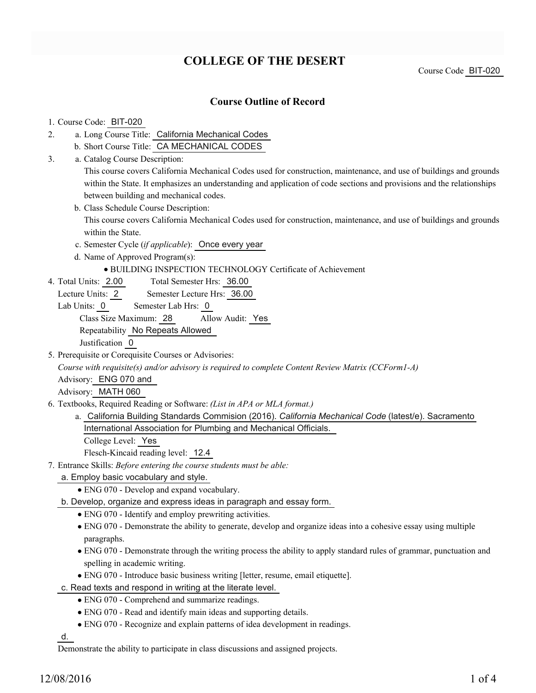# **COLLEGE OF THE DESERT**

Course Code BIT-020

## **Course Outline of Record**

#### 1. Course Code: BIT-020

- a. Long Course Title: California Mechanical Codes 2.
	- b. Short Course Title: CA MECHANICAL CODES
- Catalog Course Description: a. 3.

This course covers California Mechanical Codes used for construction, maintenance, and use of buildings and grounds within the State. It emphasizes an understanding and application of code sections and provisions and the relationships between building and mechanical codes.

b. Class Schedule Course Description:

This course covers California Mechanical Codes used for construction, maintenance, and use of buildings and grounds within the State.

- c. Semester Cycle (*if applicable*): Once every year
- d. Name of Approved Program(s):
	- BUILDING INSPECTION TECHNOLOGY Certificate of Achievement
- Total Semester Hrs: 36.00 4. Total Units: 2.00
	- Lecture Units: 2 Semester Lecture Hrs: 36.00
	- Lab Units: 0 Semester Lab Hrs: 0

Class Size Maximum: 28 Allow Audit: Yes

Repeatability No Repeats Allowed

Justification 0

5. Prerequisite or Corequisite Courses or Advisories:

*Course with requisite(s) and/or advisory is required to complete Content Review Matrix (CCForm1-A)*

Advisory: ENG 070 and

Advisory: MATH 060

- Textbooks, Required Reading or Software: *(List in APA or MLA format.)* 6.
	- a. California Building Standards Commision (2016). *California Mechanical Code* (latest/e). Sacramento International Association for Plumbing and Mechanical Officials.

College Level: Yes

Flesch-Kincaid reading level: 12.4

- Entrance Skills: *Before entering the course students must be able:* 7.
	- a. Employ basic vocabulary and style.
		- ENG 070 Develop and expand vocabulary.
	- b. Develop, organize and express ideas in paragraph and essay form.
		- ENG 070 Identify and employ prewriting activities.
		- ENG 070 Demonstrate the ability to generate, develop and organize ideas into a cohesive essay using multiple paragraphs.
		- ENG 070 Demonstrate through the writing process the ability to apply standard rules of grammar, punctuation and spelling in academic writing.
		- ENG 070 Introduce basic business writing [letter, resume, email etiquette].
	- c. Read texts and respond in writing at the literate level.
		- ENG 070 Comprehend and summarize readings.
		- ENG 070 Read and identify main ideas and supporting details.
		- ENG 070 Recognize and explain patterns of idea development in readings.

d.

Demonstrate the ability to participate in class discussions and assigned projects.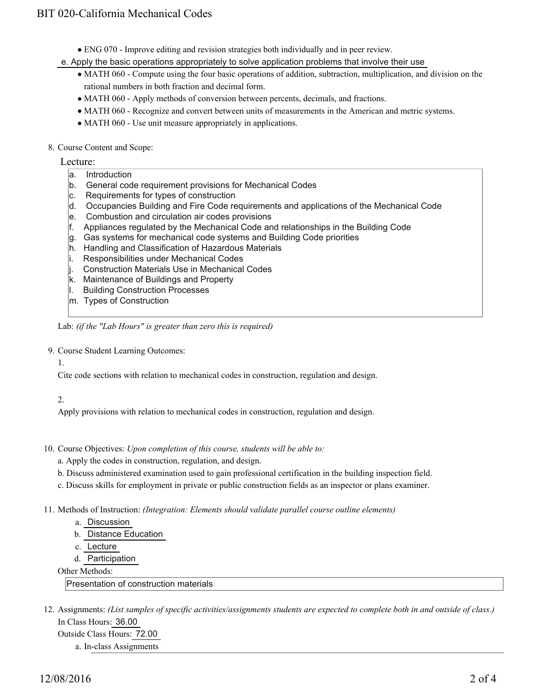- ENG 070 Improve editing and revision strategies both individually and in peer review.
- e. Apply the basic operations appropriately to solve application problems that involve their use
	- MATH 060 Compute using the four basic operations of addition, subtraction, multiplication, and division on the rational numbers in both fraction and decimal form.
	- MATH 060 Apply methods of conversion between percents, decimals, and fractions.
	- MATH 060 Recognize and convert between units of measurements in the American and metric systems.
	- MATH 060 Use unit measure appropriately in applications.
- 8. Course Content and Scope:

Lecture:

- a. Introduction
- b. General code requirement provisions for Mechanical Codes
- c. Requirements for types of construction
- d. Occupancies Building and Fire Code requirements and applications of the Mechanical Code
- e. Combustion and circulation air codes provisions
- f. Appliances regulated by the Mechanical Code and relationships in the Building Code
- g. Gas systems for mechanical code systems and Building Code priorities
- h. Handling and Classification of Hazardous Materials
- i. Responsibilities under Mechanical Codes
- j. Construction Materials Use in Mechanical Codes
- k. Maintenance of Buildings and Property
- l. Building Construction Processes
- m. Types of Construction

Lab: *(if the "Lab Hours" is greater than zero this is required)*

9. Course Student Learning Outcomes:

1.

Cite code sections with relation to mechanical codes in construction, regulation and design.

## 2.

Apply provisions with relation to mechanical codes in construction, regulation and design.

- 10. Course Objectives: Upon completion of this course, students will be able to:
	- a. Apply the codes in construction, regulation, and design.
	- b. Discuss administered examination used to gain professional certification in the building inspection field.
	- c. Discuss skills for employment in private or public construction fields as an inspector or plans examiner.
- 11. Methods of Instruction: *(Integration: Elements should validate parallel course outline elements)* 
	- a. Discussion
	- b. Distance Education
	- c. Lecture
	- d. Participation

Other Methods:

Presentation of construction materials

12. Assignments: (List samples of specific activities/assignments students are expected to complete both in and outside of class.) In Class Hours: 36.00

Outside Class Hours: 72.00 a. In-class Assignments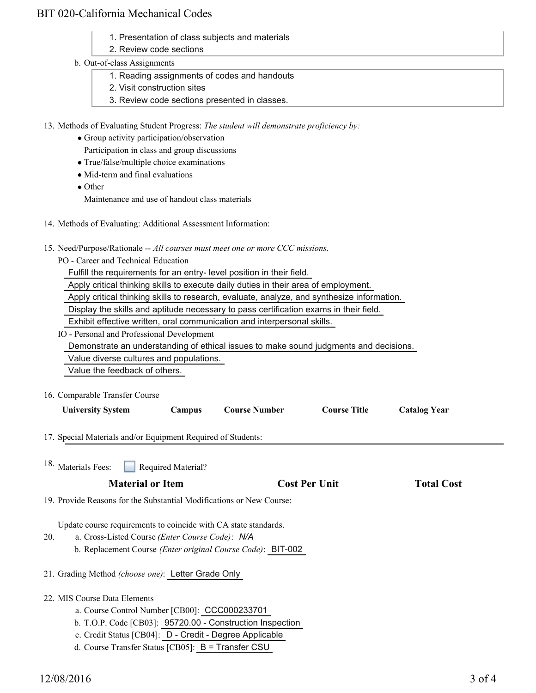# BIT 020-California Mechanical Codes

- 1. Presentation of class subjects and materials
- 2. Review code sections
- b. Out-of-class Assignments
	- 1. Reading assignments of codes and handouts
	- 2. Visit construction sites
	- 3. Review code sections presented in classes.

13. Methods of Evaluating Student Progress: The student will demonstrate proficiency by:

- Group activity participation/observation Participation in class and group discussions
- True/false/multiple choice examinations
- Mid-term and final evaluations

• Other Maintenance and use of handout class materials

- 14. Methods of Evaluating: Additional Assessment Information:
- 15. Need/Purpose/Rationale -- All courses must meet one or more CCC missions.
	- PO Career and Technical Education

Fulfill the requirements for an entry- level position in their field.

Apply critical thinking skills to execute daily duties in their area of employment.

Apply critical thinking skills to research, evaluate, analyze, and synthesize information.

Display the skills and aptitude necessary to pass certification exams in their field.

Exhibit effective written, oral communication and interpersonal skills.

IO - Personal and Professional Development

Demonstrate an understanding of ethical issues to make sound judgments and decisions.

Value diverse cultures and populations.

Value the feedback of others.

16. Comparable Transfer Course

| <b>University System</b>                                             | Campus             | <b>Course Number</b>                                        | <b>Course Title</b>  | <b>Catalog Year</b> |  |
|----------------------------------------------------------------------|--------------------|-------------------------------------------------------------|----------------------|---------------------|--|
| 17. Special Materials and/or Equipment Required of Students:         |                    |                                                             |                      |                     |  |
| <sup>18.</sup> Materials Fees:                                       | Required Material? |                                                             |                      |                     |  |
| <b>Material or Item</b>                                              |                    |                                                             | <b>Cost Per Unit</b> | <b>Total Cost</b>   |  |
| 19. Provide Reasons for the Substantial Modifications or New Course: |                    |                                                             |                      |                     |  |
| Update course requirements to coincide with CA state standards.      |                    |                                                             |                      |                     |  |
| a. Cross-Listed Course (Enter Course Code): N/A<br>20.               |                    |                                                             |                      |                     |  |
|                                                                      |                    | b. Replacement Course (Enter original Course Code): BIT-002 |                      |                     |  |
| 21. Grading Method (choose one): Letter Grade Only                   |                    |                                                             |                      |                     |  |
| 22. MIS Course Data Elements                                         |                    |                                                             |                      |                     |  |
| a. Course Control Number [CB00]: CCC000233701                        |                    |                                                             |                      |                     |  |

- b. T.O.P. Code [CB03]: 95720.00 Construction Inspection
- c. Credit Status [CB04]: D Credit Degree Applicable
- d. Course Transfer Status [CB05]: B = Transfer CSU